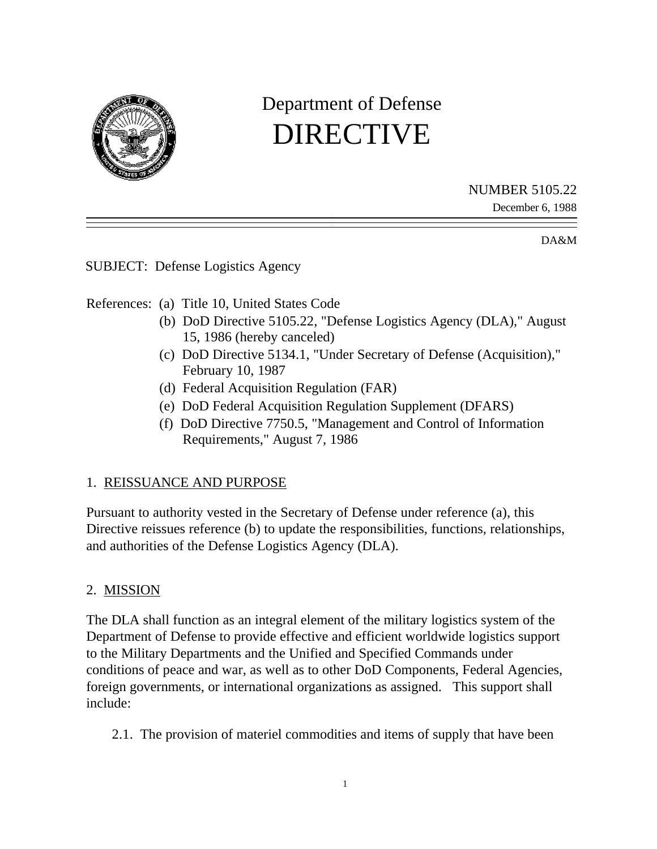

# Department of Defense DIRECTIVE

### NUMBER 5105.22

December 6, 1988

DA&M

SUBJECT: Defense Logistics Agency

References: (a) Title 10, United States Code

- (b) DoD Directive 5105.22, "Defense Logistics Agency (DLA)," August 15, 1986 (hereby canceled)
- (c) DoD Directive 5134.1, "Under Secretary of Defense (Acquisition)," February 10, 1987
- (d) Federal Acquisition Regulation (FAR)
- (e) DoD Federal Acquisition Regulation Supplement (DFARS)
- (f) DoD Directive 7750.5, "Management and Control of Information Requirements," August 7, 1986

## 1. REISSUANCE AND PURPOSE

Pursuant to authority vested in the Secretary of Defense under reference (a), this Directive reissues reference (b) to update the responsibilities, functions, relationships, and authorities of the Defense Logistics Agency (DLA).

# 2. MISSION

The DLA shall function as an integral element of the military logistics system of the Department of Defense to provide effective and efficient worldwide logistics support to the Military Departments and the Unified and Specified Commands under conditions of peace and war, as well as to other DoD Components, Federal Agencies, foreign governments, or international organizations as assigned. This support shall include:

2.1. The provision of materiel commodities and items of supply that have been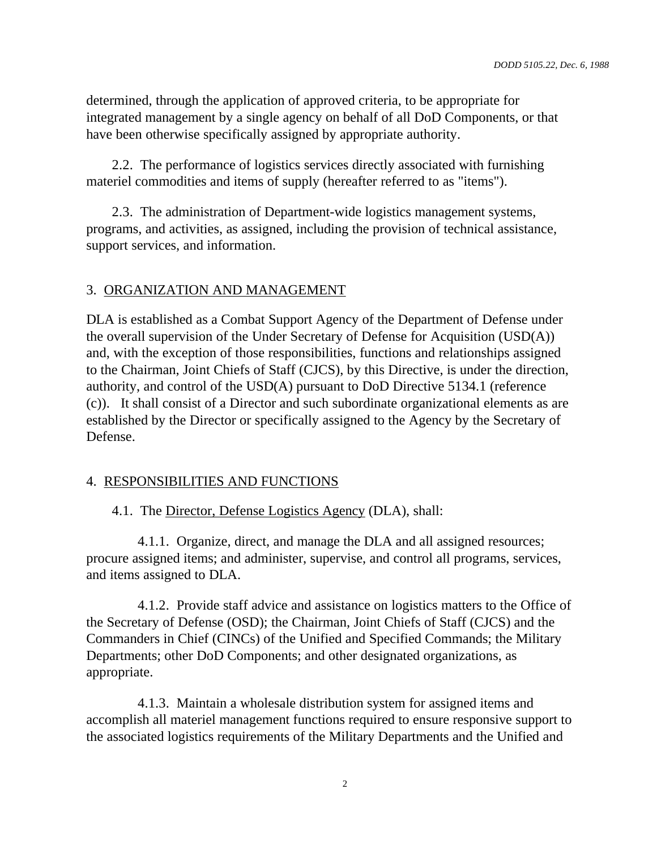determined, through the application of approved criteria, to be appropriate for integrated management by a single agency on behalf of all DoD Components, or that have been otherwise specifically assigned by appropriate authority.

2.2. The performance of logistics services directly associated with furnishing materiel commodities and items of supply (hereafter referred to as "items").

2.3. The administration of Department-wide logistics management systems, programs, and activities, as assigned, including the provision of technical assistance, support services, and information.

#### 3. ORGANIZATION AND MANAGEMENT

DLA is established as a Combat Support Agency of the Department of Defense under the overall supervision of the Under Secretary of Defense for Acquisition (USD(A)) and, with the exception of those responsibilities, functions and relationships assigned to the Chairman, Joint Chiefs of Staff (CJCS), by this Directive, is under the direction, authority, and control of the USD(A) pursuant to DoD Directive 5134.1 (reference (c)). It shall consist of a Director and such subordinate organizational elements as are established by the Director or specifically assigned to the Agency by the Secretary of Defense.

#### 4. RESPONSIBILITIES AND FUNCTIONS

4.1. The Director, Defense Logistics Agency (DLA), shall:

4.1.1. Organize, direct, and manage the DLA and all assigned resources; procure assigned items; and administer, supervise, and control all programs, services, and items assigned to DLA.

4.1.2. Provide staff advice and assistance on logistics matters to the Office of the Secretary of Defense (OSD); the Chairman, Joint Chiefs of Staff (CJCS) and the Commanders in Chief (CINCs) of the Unified and Specified Commands; the Military Departments; other DoD Components; and other designated organizations, as appropriate.

4.1.3. Maintain a wholesale distribution system for assigned items and accomplish all materiel management functions required to ensure responsive support to the associated logistics requirements of the Military Departments and the Unified and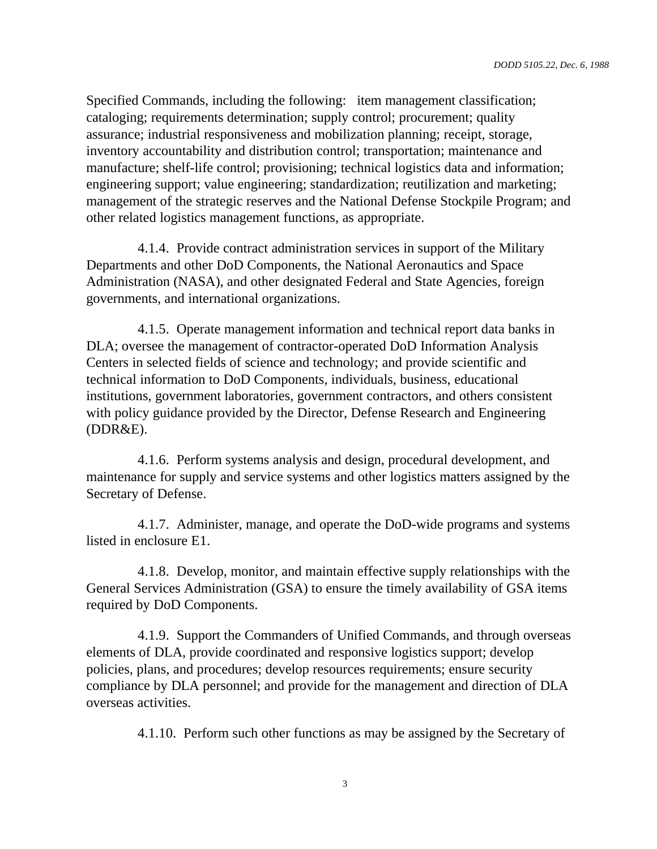Specified Commands, including the following: item management classification; cataloging; requirements determination; supply control; procurement; quality assurance; industrial responsiveness and mobilization planning; receipt, storage, inventory accountability and distribution control; transportation; maintenance and manufacture; shelf-life control; provisioning; technical logistics data and information; engineering support; value engineering; standardization; reutilization and marketing; management of the strategic reserves and the National Defense Stockpile Program; and other related logistics management functions, as appropriate.

4.1.4. Provide contract administration services in support of the Military Departments and other DoD Components, the National Aeronautics and Space Administration (NASA), and other designated Federal and State Agencies, foreign governments, and international organizations.

4.1.5. Operate management information and technical report data banks in DLA; oversee the management of contractor-operated DoD Information Analysis Centers in selected fields of science and technology; and provide scientific and technical information to DoD Components, individuals, business, educational institutions, government laboratories, government contractors, and others consistent with policy guidance provided by the Director, Defense Research and Engineering (DDR&E).

4.1.6. Perform systems analysis and design, procedural development, and maintenance for supply and service systems and other logistics matters assigned by the Secretary of Defense.

4.1.7. Administer, manage, and operate the DoD-wide programs and systems listed in enclosure E1.

4.1.8. Develop, monitor, and maintain effective supply relationships with the General Services Administration (GSA) to ensure the timely availability of GSA items required by DoD Components.

4.1.9. Support the Commanders of Unified Commands, and through overseas elements of DLA, provide coordinated and responsive logistics support; develop policies, plans, and procedures; develop resources requirements; ensure security compliance by DLA personnel; and provide for the management and direction of DLA overseas activities.

4.1.10. Perform such other functions as may be assigned by the Secretary of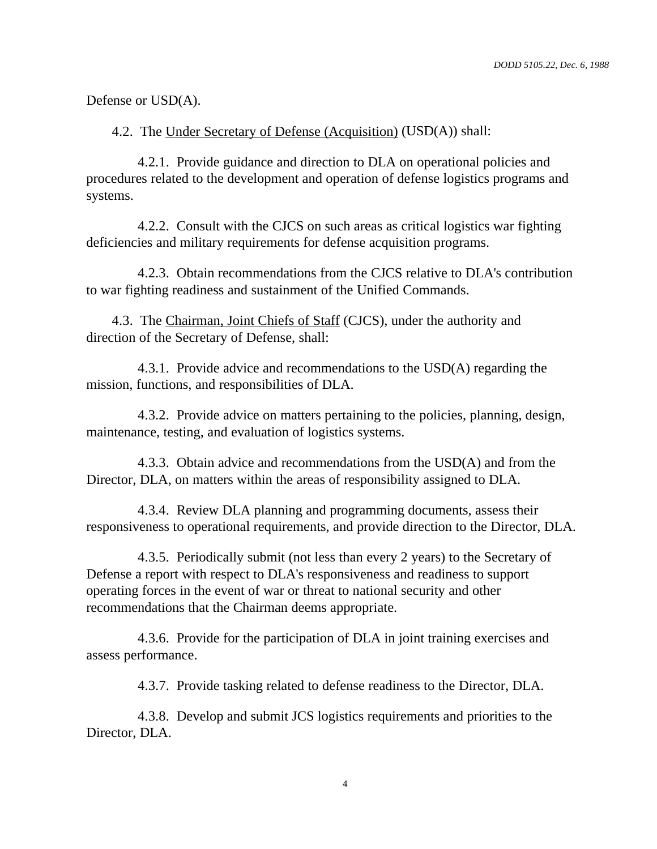Defense or USD(A).

4.2. The Under Secretary of Defense (Acquisition) (USD(A)) shall:

4.2.1. Provide guidance and direction to DLA on operational policies and procedures related to the development and operation of defense logistics programs and systems.

4.2.2. Consult with the CJCS on such areas as critical logistics war fighting deficiencies and military requirements for defense acquisition programs.

4.2.3. Obtain recommendations from the CJCS relative to DLA's contribution to war fighting readiness and sustainment of the Unified Commands.

4.3. The Chairman, Joint Chiefs of Staff (CJCS), under the authority and direction of the Secretary of Defense, shall:

4.3.1. Provide advice and recommendations to the USD(A) regarding the mission, functions, and responsibilities of DLA.

4.3.2. Provide advice on matters pertaining to the policies, planning, design, maintenance, testing, and evaluation of logistics systems.

4.3.3. Obtain advice and recommendations from the USD(A) and from the Director, DLA, on matters within the areas of responsibility assigned to DLA.

4.3.4. Review DLA planning and programming documents, assess their responsiveness to operational requirements, and provide direction to the Director, DLA.

4.3.5. Periodically submit (not less than every 2 years) to the Secretary of Defense a report with respect to DLA's responsiveness and readiness to support operating forces in the event of war or threat to national security and other recommendations that the Chairman deems appropriate.

4.3.6. Provide for the participation of DLA in joint training exercises and assess performance.

4.3.7. Provide tasking related to defense readiness to the Director, DLA.

4.3.8. Develop and submit JCS logistics requirements and priorities to the Director, DLA.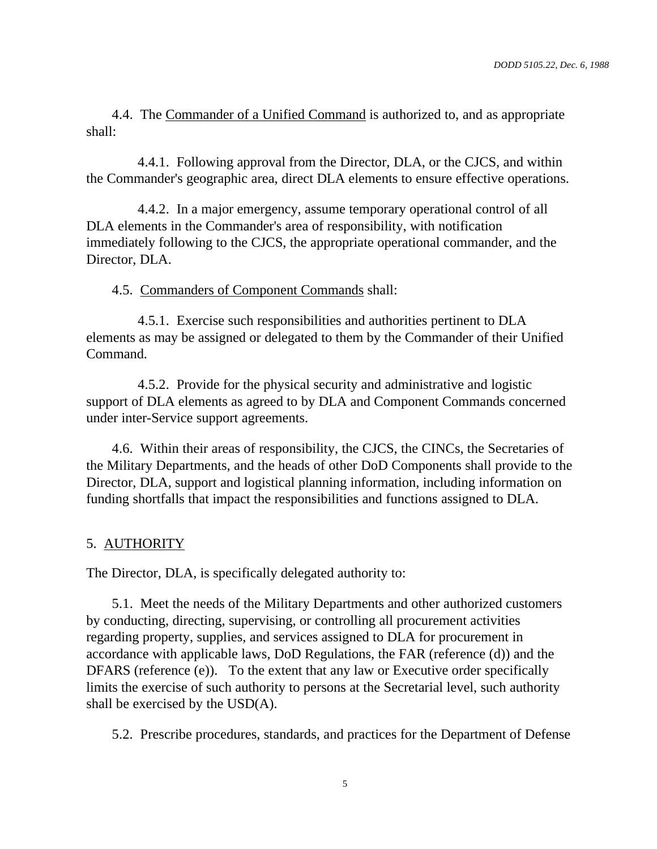4.4. The Commander of a Unified Command is authorized to, and as appropriate shall:

4.4.1. Following approval from the Director, DLA, or the CJCS, and within the Commander's geographic area, direct DLA elements to ensure effective operations.

4.4.2. In a major emergency, assume temporary operational control of all DLA elements in the Commander's area of responsibility, with notification immediately following to the CJCS, the appropriate operational commander, and the Director, DLA.

4.5. Commanders of Component Commands shall:

4.5.1. Exercise such responsibilities and authorities pertinent to DLA elements as may be assigned or delegated to them by the Commander of their Unified Command.

4.5.2. Provide for the physical security and administrative and logistic support of DLA elements as agreed to by DLA and Component Commands concerned under inter-Service support agreements.

4.6. Within their areas of responsibility, the CJCS, the CINCs, the Secretaries of the Military Departments, and the heads of other DoD Components shall provide to the Director, DLA, support and logistical planning information, including information on funding shortfalls that impact the responsibilities and functions assigned to DLA.

#### 5. AUTHORITY

The Director, DLA, is specifically delegated authority to:

5.1. Meet the needs of the Military Departments and other authorized customers by conducting, directing, supervising, or controlling all procurement activities regarding property, supplies, and services assigned to DLA for procurement in accordance with applicable laws, DoD Regulations, the FAR (reference (d)) and the DFARS (reference (e)). To the extent that any law or Executive order specifically limits the exercise of such authority to persons at the Secretarial level, such authority shall be exercised by the USD(A).

5.2. Prescribe procedures, standards, and practices for the Department of Defense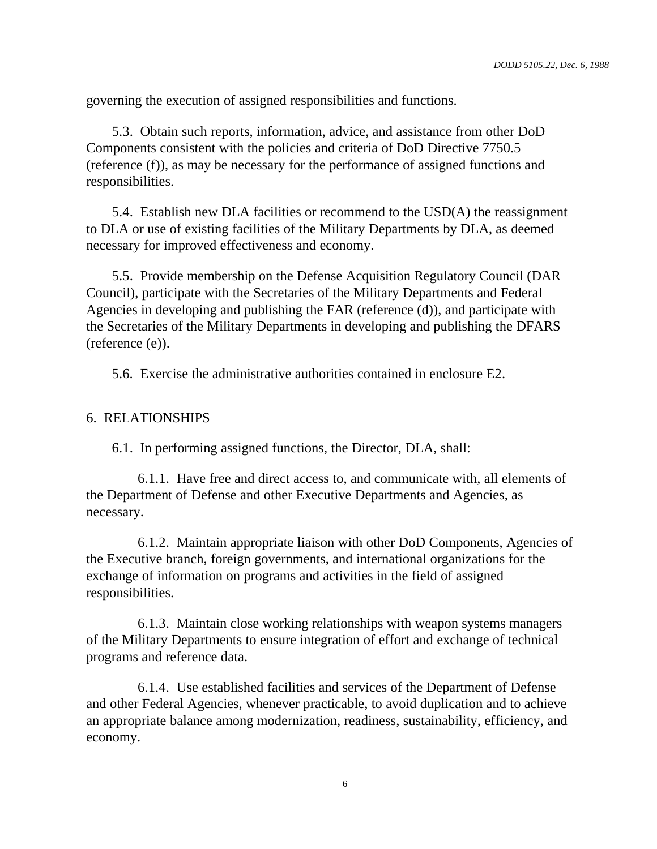governing the execution of assigned responsibilities and functions.

5.3. Obtain such reports, information, advice, and assistance from other DoD Components consistent with the policies and criteria of DoD Directive 7750.5 (reference (f)), as may be necessary for the performance of assigned functions and responsibilities.

5.4. Establish new DLA facilities or recommend to the USD(A) the reassignment to DLA or use of existing facilities of the Military Departments by DLA, as deemed necessary for improved effectiveness and economy.

5.5. Provide membership on the Defense Acquisition Regulatory Council (DAR Council), participate with the Secretaries of the Military Departments and Federal Agencies in developing and publishing the FAR (reference (d)), and participate with the Secretaries of the Military Departments in developing and publishing the DFARS (reference (e)).

5.6. Exercise the administrative authorities contained in enclosure E2.

#### 6. RELATIONSHIPS

6.1. In performing assigned functions, the Director, DLA, shall:

6.1.1. Have free and direct access to, and communicate with, all elements of the Department of Defense and other Executive Departments and Agencies, as necessary.

6.1.2. Maintain appropriate liaison with other DoD Components, Agencies of the Executive branch, foreign governments, and international organizations for the exchange of information on programs and activities in the field of assigned responsibilities.

6.1.3. Maintain close working relationships with weapon systems managers of the Military Departments to ensure integration of effort and exchange of technical programs and reference data.

6.1.4. Use established facilities and services of the Department of Defense and other Federal Agencies, whenever practicable, to avoid duplication and to achieve an appropriate balance among modernization, readiness, sustainability, efficiency, and economy.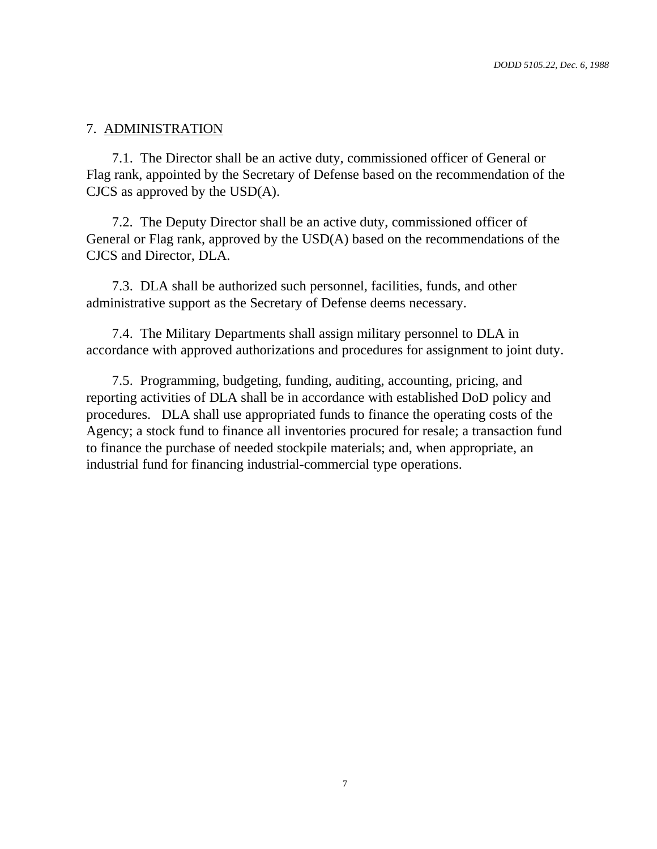#### 7. ADMINISTRATION

7.1. The Director shall be an active duty, commissioned officer of General or Flag rank, appointed by the Secretary of Defense based on the recommendation of the CJCS as approved by the USD(A).

7.2. The Deputy Director shall be an active duty, commissioned officer of General or Flag rank, approved by the USD(A) based on the recommendations of the CJCS and Director, DLA.

7.3. DLA shall be authorized such personnel, facilities, funds, and other administrative support as the Secretary of Defense deems necessary.

7.4. The Military Departments shall assign military personnel to DLA in accordance with approved authorizations and procedures for assignment to joint duty.

7.5. Programming, budgeting, funding, auditing, accounting, pricing, and reporting activities of DLA shall be in accordance with established DoD policy and procedures. DLA shall use appropriated funds to finance the operating costs of the Agency; a stock fund to finance all inventories procured for resale; a transaction fund to finance the purchase of needed stockpile materials; and, when appropriate, an industrial fund for financing industrial-commercial type operations.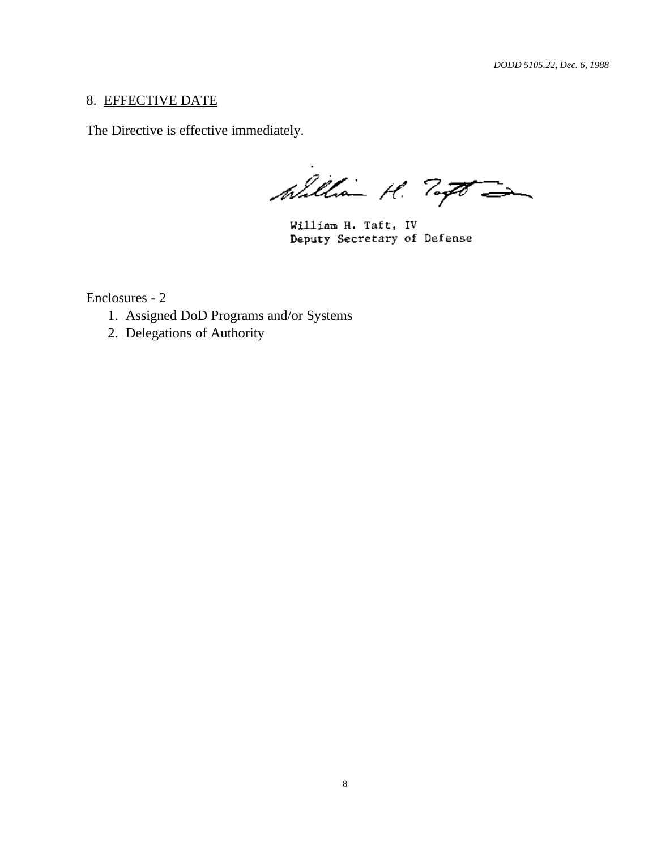#### 8. EFFECTIVE DATE

The Directive is effective immediately.

William H. Togo

William H. Taft, IV Deputy Secretary of Defense

Enclosures - 2

- 1. Assigned DoD Programs and/or Systems
- 2. Delegations of Authority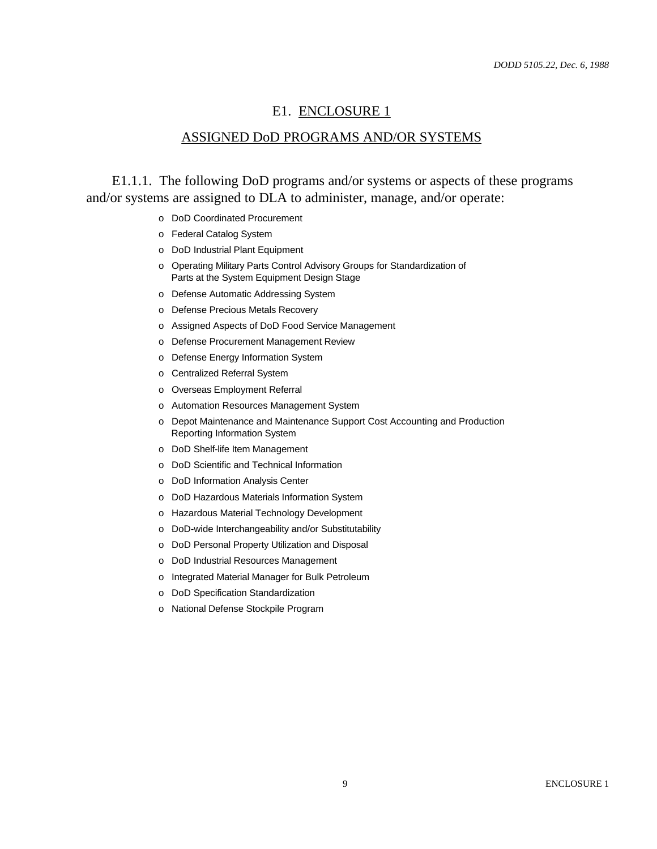#### E1. ENCLOSURE 1

#### ASSIGNED DoD PROGRAMS AND/OR SYSTEMS

E1.1.1. The following DoD programs and/or systems or aspects of these programs and/or systems are assigned to DLA to administer, manage, and/or operate:

- o DoD Coordinated Procurement
- o Federal Catalog System
- o DoD Industrial Plant Equipment
- o Operating Military Parts Control Advisory Groups for Standardization of Parts at the System Equipment Design Stage
- o Defense Automatic Addressing System
- o Defense Precious Metals Recovery
- o Assigned Aspects of DoD Food Service Management
- o Defense Procurement Management Review
- o Defense Energy Information System
- o Centralized Referral System
- o Overseas Employment Referral
- o Automation Resources Management System
- o Depot Maintenance and Maintenance Support Cost Accounting and Production Reporting Information System
- o DoD Shelf-life Item Management
- o DoD Scientific and Technical Information
- o DoD Information Analysis Center
- o DoD Hazardous Materials Information System
- o Hazardous Material Technology Development
- o DoD-wide Interchangeability and/or Substitutability
- o DoD Personal Property Utilization and Disposal
- o DoD Industrial Resources Management
- o Integrated Material Manager for Bulk Petroleum
- o DoD Specification Standardization
- o National Defense Stockpile Program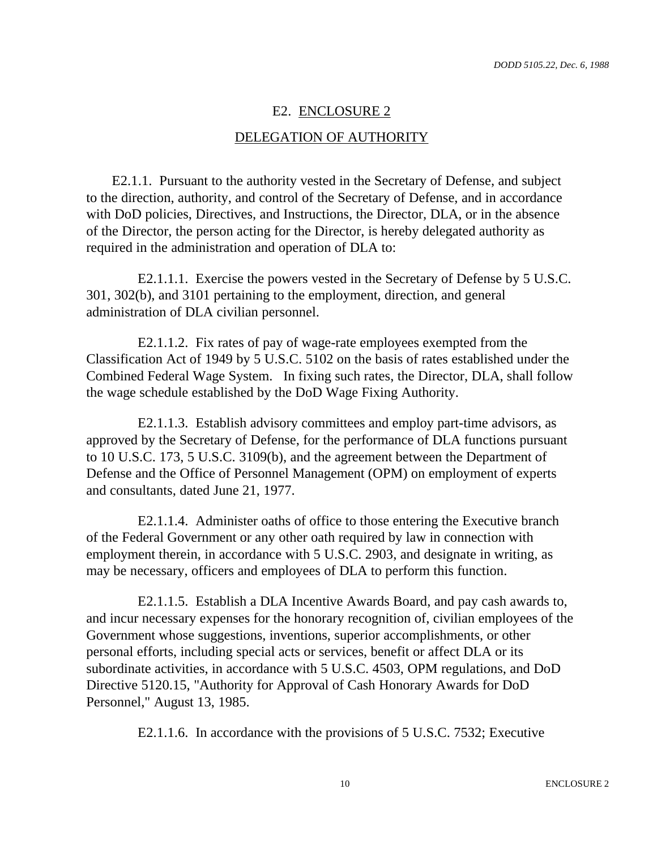# E2. ENCLOSURE 2 DELEGATION OF AUTHORITY

E2.1.1. Pursuant to the authority vested in the Secretary of Defense, and subject to the direction, authority, and control of the Secretary of Defense, and in accordance with DoD policies, Directives, and Instructions, the Director, DLA, or in the absence of the Director, the person acting for the Director, is hereby delegated authority as required in the administration and operation of DLA to:

E2.1.1.1. Exercise the powers vested in the Secretary of Defense by 5 U.S.C. 301, 302(b), and 3101 pertaining to the employment, direction, and general administration of DLA civilian personnel.

E2.1.1.2. Fix rates of pay of wage-rate employees exempted from the Classification Act of 1949 by 5 U.S.C. 5102 on the basis of rates established under the Combined Federal Wage System. In fixing such rates, the Director, DLA, shall follow the wage schedule established by the DoD Wage Fixing Authority.

E2.1.1.3. Establish advisory committees and employ part-time advisors, as approved by the Secretary of Defense, for the performance of DLA functions pursuant to 10 U.S.C. 173, 5 U.S.C. 3109(b), and the agreement between the Department of Defense and the Office of Personnel Management (OPM) on employment of experts and consultants, dated June 21, 1977.

E2.1.1.4. Administer oaths of office to those entering the Executive branch of the Federal Government or any other oath required by law in connection with employment therein, in accordance with 5 U.S.C. 2903, and designate in writing, as may be necessary, officers and employees of DLA to perform this function.

E2.1.1.5. Establish a DLA Incentive Awards Board, and pay cash awards to, and incur necessary expenses for the honorary recognition of, civilian employees of the Government whose suggestions, inventions, superior accomplishments, or other personal efforts, including special acts or services, benefit or affect DLA or its subordinate activities, in accordance with 5 U.S.C. 4503, OPM regulations, and DoD Directive 5120.15, "Authority for Approval of Cash Honorary Awards for DoD Personnel," August 13, 1985.

E2.1.1.6. In accordance with the provisions of 5 U.S.C. 7532; Executive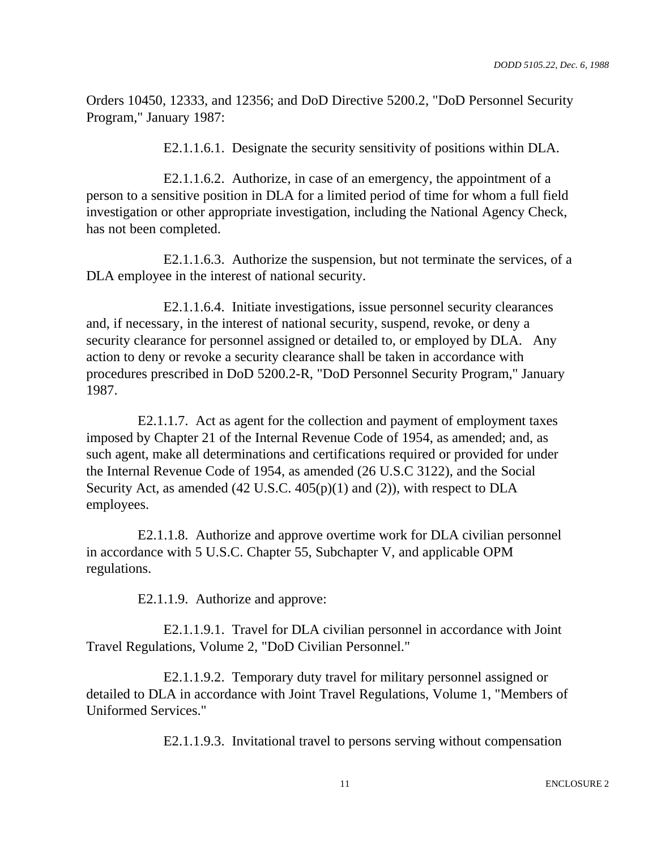Orders 10450, 12333, and 12356; and DoD Directive 5200.2, "DoD Personnel Security Program," January 1987:

E2.1.1.6.1. Designate the security sensitivity of positions within DLA.

E2.1.1.6.2. Authorize, in case of an emergency, the appointment of a person to a sensitive position in DLA for a limited period of time for whom a full field investigation or other appropriate investigation, including the National Agency Check, has not been completed.

E2.1.1.6.3. Authorize the suspension, but not terminate the services, of a DLA employee in the interest of national security.

E2.1.1.6.4. Initiate investigations, issue personnel security clearances and, if necessary, in the interest of national security, suspend, revoke, or deny a security clearance for personnel assigned or detailed to, or employed by DLA. Any action to deny or revoke a security clearance shall be taken in accordance with procedures prescribed in DoD 5200.2-R, "DoD Personnel Security Program," January 1987.

E2.1.1.7. Act as agent for the collection and payment of employment taxes imposed by Chapter 21 of the Internal Revenue Code of 1954, as amended; and, as such agent, make all determinations and certifications required or provided for under the Internal Revenue Code of 1954, as amended (26 U.S.C 3122), and the Social Security Act, as amended (42 U.S.C. 405(p)(1) and (2)), with respect to DLA employees.

E2.1.1.8. Authorize and approve overtime work for DLA civilian personnel in accordance with 5 U.S.C. Chapter 55, Subchapter V, and applicable OPM regulations.

E2.1.1.9. Authorize and approve:

E2.1.1.9.1. Travel for DLA civilian personnel in accordance with Joint Travel Regulations, Volume 2, "DoD Civilian Personnel."

E2.1.1.9.2. Temporary duty travel for military personnel assigned or detailed to DLA in accordance with Joint Travel Regulations, Volume 1, "Members of Uniformed Services."

E2.1.1.9.3. Invitational travel to persons serving without compensation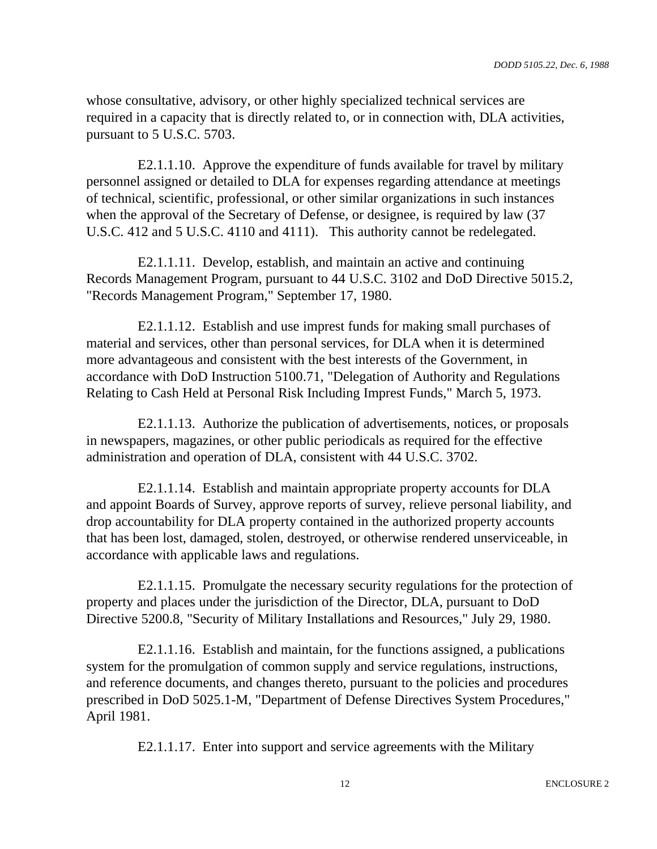whose consultative, advisory, or other highly specialized technical services are required in a capacity that is directly related to, or in connection with, DLA activities, pursuant to 5 U.S.C. 5703.

E2.1.1.10. Approve the expenditure of funds available for travel by military personnel assigned or detailed to DLA for expenses regarding attendance at meetings of technical, scientific, professional, or other similar organizations in such instances when the approval of the Secretary of Defense, or designee, is required by law (37 U.S.C. 412 and 5 U.S.C. 4110 and 4111). This authority cannot be redelegated.

E2.1.1.11. Develop, establish, and maintain an active and continuing Records Management Program, pursuant to 44 U.S.C. 3102 and DoD Directive 5015.2, "Records Management Program," September 17, 1980.

E2.1.1.12. Establish and use imprest funds for making small purchases of material and services, other than personal services, for DLA when it is determined more advantageous and consistent with the best interests of the Government, in accordance with DoD Instruction 5100.71, "Delegation of Authority and Regulations Relating to Cash Held at Personal Risk Including Imprest Funds," March 5, 1973.

E2.1.1.13. Authorize the publication of advertisements, notices, or proposals in newspapers, magazines, or other public periodicals as required for the effective administration and operation of DLA, consistent with 44 U.S.C. 3702.

E2.1.1.14. Establish and maintain appropriate property accounts for DLA and appoint Boards of Survey, approve reports of survey, relieve personal liability, and drop accountability for DLA property contained in the authorized property accounts that has been lost, damaged, stolen, destroyed, or otherwise rendered unserviceable, in accordance with applicable laws and regulations.

E2.1.1.15. Promulgate the necessary security regulations for the protection of property and places under the jurisdiction of the Director, DLA, pursuant to DoD Directive 5200.8, "Security of Military Installations and Resources," July 29, 1980.

E2.1.1.16. Establish and maintain, for the functions assigned, a publications system for the promulgation of common supply and service regulations, instructions, and reference documents, and changes thereto, pursuant to the policies and procedures prescribed in DoD 5025.1-M, "Department of Defense Directives System Procedures," April 1981.

E2.1.1.17. Enter into support and service agreements with the Military